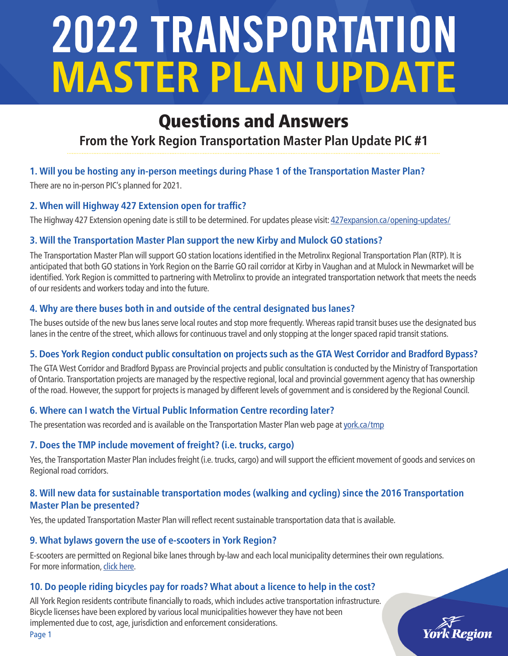# 2022 TRANSPORTATION **MASTER PLAN UPDATE**

# Questions and Answers

## **From the York Region Transportation Master Plan Update PIC #1**

#### **1. Will you be hosting any in-person meetings during Phase 1 of the Transportation Master Plan?**

There are no in-person PIC's planned for 2021.

#### **2. When will Highway 427 Extension open for traffic?**

The Highway 427 Extension opening date is still to be determined. For updates please visit[: 427expansion.ca/opening-updates/](https://427expansion.ca/opening-updates/)

#### **3. Will the Transportation Master Plan support the new Kirby and Mulock GO stations?**

The Transportation Master Plan will support GO station locations identified in the Metrolinx Regional Transportation Plan (RTP). It is anticipated that both GO stations in York Region on the Barrie GO rail corridor at Kirby in Vaughan and at Mulock in Newmarket will be identified. York Region is committed to partnering with Metrolinx to provide an integrated transportation network that meets the needs of our residents and workers today and into the future.

#### **4. Why are there buses both in and outside of the central designated bus lanes?**

The buses outside of the new bus lanes serve local routes and stop more frequently. Whereas rapid transit buses use the designated bus lanes in the centre of the street, which allows for continuous travel and only stopping at the longer spaced rapid transit stations.

#### **5. Does York Region conduct public consultation on projects such as the GTA West Corridor and Bradford Bypass?**

The GTA West Corridor and Bradford Bypass are Provincial projects and public consultation is conducted by the Ministry of Transportation of Ontario. Transportation projects are managed by the respective regional, local and provincial government agency that has ownership of the road. However, the support for projects is managed by different levels of government and is considered by the Regional Council.

#### **6. Where can I watch the Virtual Public Information Centre recording later?**

The presentation was recorded and is available on the Transportation Master Plan web page at [york.ca/tmp](http://www.york.ca/tmp)

#### **7. Does the TMP include movement of freight? (i.e. trucks, cargo)**

Yes, the Transportation Master Plan includes freight (i.e. trucks, cargo) and will support the efficient movement of goods and services on Regional road corridors.

#### **8. Will new data for sustainable transportation modes (walking and cycling) since the 2016 Transportation Master Plan be presented?**

Yes, the updated Transportation Master Plan will reflect recent sustainable transportation data that is available.

#### **9. What bylaws govern the use of e-scooters in York Region?**

E-scooters are permitted on Regional bike lanes through by-law and each local municipality determines their own regulations. For more information, [click here.](https://yorkpublishing.escribemeetings.com/Meeting.aspx?Id=7edf8d3c-3494-4f29-9f3e-1a243749b75a&Agenda=Merged&lang=English&Item=49&Tab=attachments)

#### **10. Do people riding bicycles pay for roads? What about a licence to help in the cost?**

All York Region residents contribute financially to roads, which includes active transportation infrastructure. Bicycle licenses have been explored by various local municipalities however they have not been implemented due to cost, age, jurisdiction and enforcement considerations.



Page 1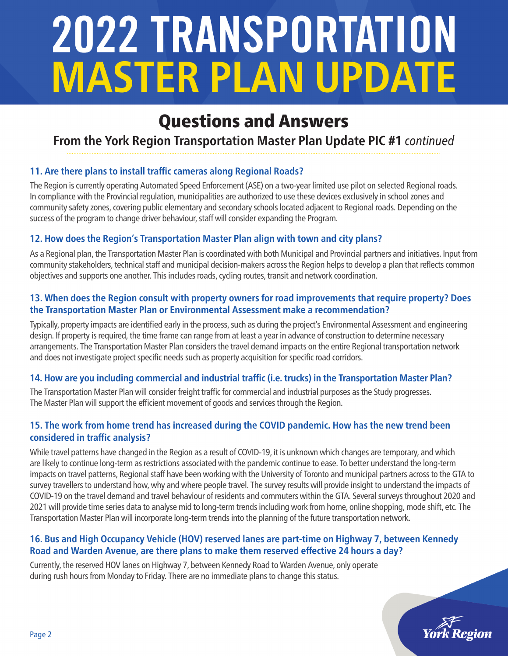# 2022 TRANSPORTATION **MASTER PLAN UPDATE**

# Questions and Answers

## **From the York Region Transportation Master Plan Update PIC #1** *continued*

#### **11. Are there plans to install traffic cameras along Regional Roads?**

The Region is currently operating Automated Speed Enforcement (ASE) on a two-year limited use pilot on selected Regional roads. In compliance with the Provincial regulation, municipalities are authorized to use these devices exclusively in school zones and community safety zones, covering public elementary and secondary schools located adjacent to Regional roads. Depending on the success of the program to change driver behaviour, staff will consider expanding the Program.

#### **12. How does the Region's Transportation Master Plan align with town and city plans?**

As a Regional plan, the Transportation Master Plan is coordinated with both Municipal and Provincial partners and initiatives. Input from community stakeholders, technical staff and municipal decision-makers across the Region helps to develop a plan that reflects common objectives and supports one another. This includes roads, cycling routes, transit and network coordination.

#### **13. When does the Region consult with property owners for road improvements that require property? Does the Transportation Master Plan or Environmental Assessment make a recommendation?**

Typically, property impacts are identified early in the process, such as during the project's Environmental Assessment and engineering design. If property is required, the time frame can range from at least a year in advance of construction to determine necessary arrangements. The Transportation Master Plan considers the travel demand impacts on the entire Regional transportation network and does not investigate project specific needs such as property acquisition for specific road corridors.

#### **14. How are you including commercial and industrial traffic (i.e. trucks) in the Transportation Master Plan?**

The Transportation Master Plan will consider freight traffic for commercial and industrial purposes as the Study progresses. The Master Plan will support the efficient movement of goods and services through the Region.

#### **15. The work from home trend has increased during the COVID pandemic. How has the new trend been considered in traffic analysis?**

While travel patterns have changed in the Region as a result of COVID-19, it is unknown which changes are temporary, and which are likely to continue long-term as restrictions associated with the pandemic continue to ease. To better understand the long-term impacts on travel patterns, Regional staff have been working with the University of Toronto and municipal partners across to the GTA to survey travellers to understand how, why and where people travel. The survey results will provide insight to understand the impacts of COVID-19 on the travel demand and travel behaviour of residents and commuters within the GTA. Several surveys throughout 2020 and 2021 will provide time series data to analyse mid to long-term trends including work from home, online shopping, mode shift, etc. The Transportation Master Plan will incorporate long-term trends into the planning of the future transportation network.

#### **16. Bus and High Occupancy Vehicle (HOV) reserved lanes are part-time on Highway 7, between Kennedy Road and Warden Avenue, are there plans to make them reserved effective 24 hours a day?**

Currently, the reserved HOV lanes on Highway 7, between Kennedy Road to Warden Avenue, only operate during rush hours from Monday to Friday. There are no immediate plans to change this status.